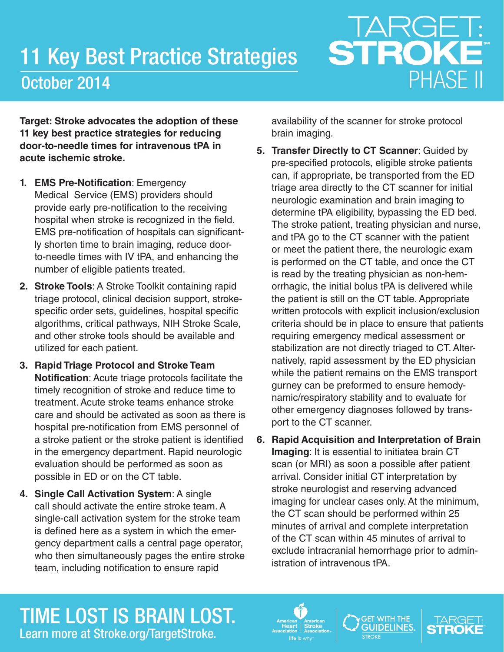## 11 Key Best Practice Strategies October 2014

## TARGET:<br>STROKE PHASE II

**Target: Stroke advocates the adoption of these 11 key best practice strategies for reducing door-to-needle times for intravenous tPA in acute ischemic stroke.** 

- **1. EMS Pre-Notification**: Emergency Medical Service (EMS) providers should provide early pre-notification to the receiving hospital when stroke is recognized in the field. EMS pre-notification of hospitals can significantly shorten time to brain imaging, reduce doorto-needle times with IV tPA, and enhancing the number of eligible patients treated.
- **2. Stroke Tools**: A Stroke Toolkit containing rapid triage protocol, clinical decision support, strokespecific order sets, guidelines, hospital specific algorithms, critical pathways, NIH Stroke Scale, and other stroke tools should be available and utilized for each patient.
- **3. Rapid Triage Protocol and Stroke Team Notification**: Acute triage protocols facilitate the timely recognition of stroke and reduce time to treatment. Acute stroke teams enhance stroke care and should be activated as soon as there is hospital pre-notification from EMS personnel of a stroke patient or the stroke patient is identified in the emergency department. Rapid neurologic evaluation should be performed as soon as possible in ED or on the CT table.
- **4. Single Call Activation System**: A single call should activate the entire stroke team. A single-call activation system for the stroke team is defined here as a system in which the emergency department calls a central page operator, who then simultaneously pages the entire stroke team, including notification to ensure rapid

availability of the scanner for stroke protocol brain imaging.

- **5. Transfer Directly to CT Scanner**: Guided by pre-specified protocols, eligible stroke patients can, if appropriate, be transported from the ED triage area directly to the CT scanner for initial neurologic examination and brain imaging to determine tPA eligibility, bypassing the ED bed. The stroke patient, treating physician and nurse, and tPA go to the CT scanner with the patient or meet the patient there, the neurologic exam is performed on the CT table, and once the CT is read by the treating physician as non-hemorrhagic, the initial bolus tPA is delivered while the patient is still on the CT table. Appropriate written protocols with explicit inclusion/exclusion criteria should be in place to ensure that patients requiring emergency medical assessment or stabilization are not directly triaged to CT. Alternatively, rapid assessment by the ED physician while the patient remains on the EMS transport gurney can be preformed to ensure hemodynamic/respiratory stability and to evaluate for other emergency diagnoses followed by transport to the CT scanner.
- **6. Rapid Acquisition and Interpretation of Brain Imaging**: It is essential to initiatea brain CT scan (or MRI) as soon a possible after patient arrival. Consider initial CT interpretation by stroke neurologist and reserving advanced imaging for unclear cases only. At the minimum, the CT scan should be performed within 25 minutes of arrival and complete interpretation of the CT scan within 45 minutes of arrival to exclude intracranial hemorrhage prior to administration of intravenous tPA.

## TIME LOST IS BRAIN LOST. Learn more at Stroke.org/TargetStroke.